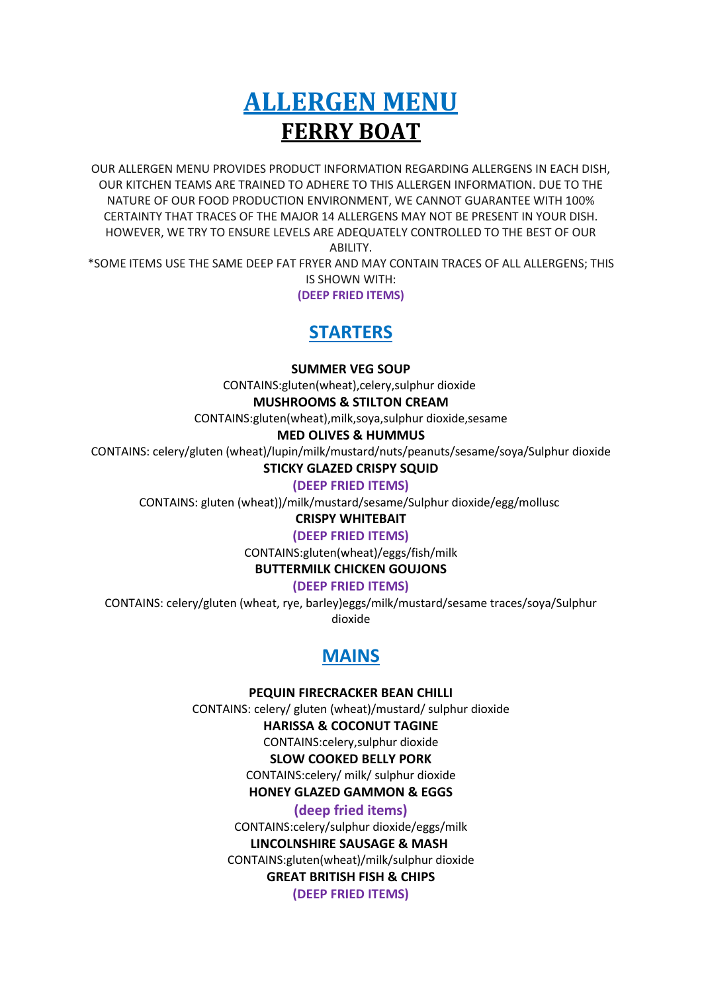# **ALLERGEN MENU FERRY BOAT**

OUR ALLERGEN MENU PROVIDES PRODUCT INFORMATION REGARDING ALLERGENS IN EACH DISH, OUR KITCHEN TEAMS ARE TRAINED TO ADHERE TO THIS ALLERGEN INFORMATION. DUE TO THE NATURE OF OUR FOOD PRODUCTION ENVIRONMENT, WE CANNOT GUARANTEE WITH 100% CERTAINTY THAT TRACES OF THE MAJOR 14 ALLERGENS MAY NOT BE PRESENT IN YOUR DISH. HOWEVER, WE TRY TO ENSURE LEVELS ARE ADEQUATELY CONTROLLED TO THE BEST OF OUR ABILITY.

\*SOME ITEMS USE THE SAME DEEP FAT FRYER AND MAY CONTAIN TRACES OF ALL ALLERGENS; THIS IS SHOWN WITH:

**(DEEP FRIED ITEMS)**

# **STARTERS**

#### **SUMMER VEG SOUP**

CONTAINS:gluten(wheat),celery,sulphur dioxide

#### **MUSHROOMS & STILTON CREAM**

CONTAINS:gluten(wheat),milk,soya,sulphur dioxide,sesame

#### **MED OLIVES & HUMMUS**

CONTAINS: celery/gluten (wheat)/lupin/milk/mustard/nuts/peanuts/sesame/soya/Sulphur dioxide

#### **STICKY GLAZED CRISPY SQUID**

**(DEEP FRIED ITEMS)**

CONTAINS: gluten (wheat))/milk/mustard/sesame/Sulphur dioxide/egg/mollusc

#### **CRISPY WHITEBAIT**

#### **(DEEP FRIED ITEMS)**

CONTAINS:gluten(wheat)/eggs/fish/milk

#### **BUTTERMILK CHICKEN GOUJONS**

**(DEEP FRIED ITEMS)**

CONTAINS: celery/gluten (wheat, rye, barley)eggs/milk/mustard/sesame traces/soya/Sulphur dioxide

# **MAINS**

**PEQUIN FIRECRACKER BEAN CHILLI**

CONTAINS: celery/ gluten (wheat)/mustard/ sulphur dioxide

#### **HARISSA & COCONUT TAGINE**

CONTAINS:celery,sulphur dioxide

### **SLOW COOKED BELLY PORK**

CONTAINS:celery/ milk/ sulphur dioxide

**HONEY GLAZED GAMMON & EGGS**

#### **(deep fried items)**

CONTAINS:celery/sulphur dioxide/eggs/milk **LINCOLNSHIRE SAUSAGE & MASH** CONTAINS:gluten(wheat)/milk/sulphur dioxide **GREAT BRITISH FISH & CHIPS (DEEP FRIED ITEMS)**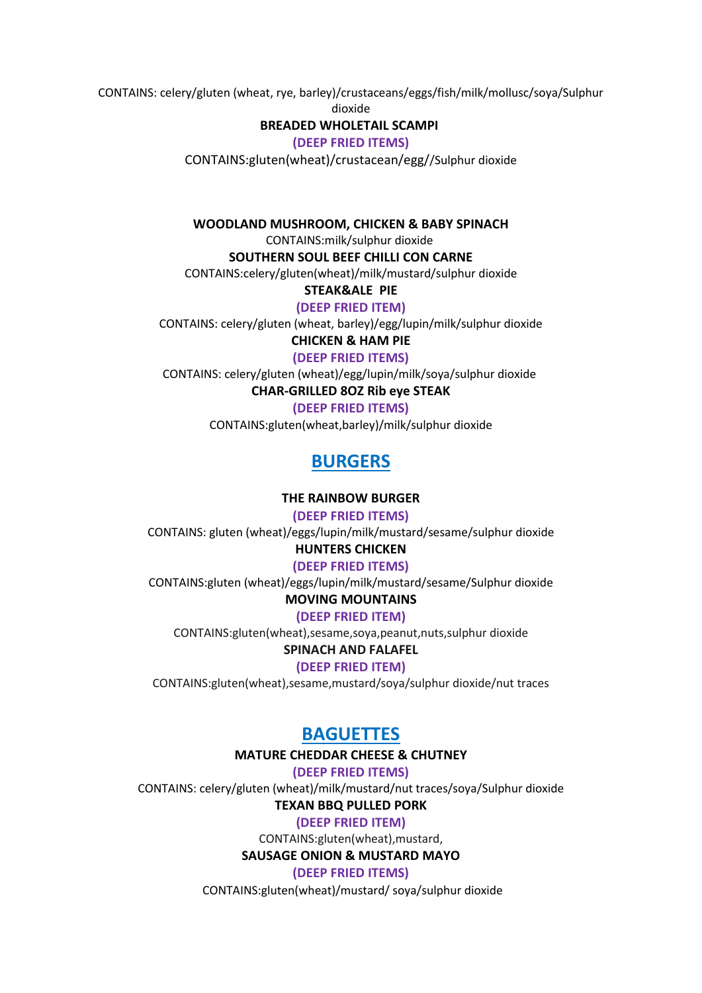CONTAINS: celery/gluten (wheat, rye, barley)/crustaceans/eggs/fish/milk/mollusc/soya/Sulphur

dioxide

#### **BREADED WHOLETAIL SCAMPI**

**(DEEP FRIED ITEMS)**

CONTAINS:gluten(wheat)/crustacean/egg//Sulphur dioxide

**WOODLAND MUSHROOM, CHICKEN & BABY SPINACH**

CONTAINS:milk/sulphur dioxide

**SOUTHERN SOUL BEEF CHILLI CON CARNE**

CONTAINS:celery/gluten(wheat)/milk/mustard/sulphur dioxide

**STEAK&ALE PIE**

**(DEEP FRIED ITEM)**

CONTAINS: celery/gluten (wheat, barley)/egg/lupin/milk/sulphur dioxide

**CHICKEN & HAM PIE (DEEP FRIED ITEMS)**

CONTAINS: celery/gluten (wheat)/egg/lupin/milk/soya/sulphur dioxide

**CHAR-GRILLED 8OZ Rib eye STEAK**

**(DEEP FRIED ITEMS)**

CONTAINS:gluten(wheat,barley)/milk/sulphur dioxide

# **BURGERS**

**THE RAINBOW BURGER**

**(DEEP FRIED ITEMS)**

CONTAINS: gluten (wheat)/eggs/lupin/milk/mustard/sesame/sulphur dioxide

**HUNTERS CHICKEN**

**(DEEP FRIED ITEMS)**

CONTAINS:gluten (wheat)/eggs/lupin/milk/mustard/sesame/Sulphur dioxide

### **MOVING MOUNTAINS**

**(DEEP FRIED ITEM)**

CONTAINS:gluten(wheat),sesame,soya,peanut,nuts,sulphur dioxide

#### **SPINACH AND FALAFEL**

**(DEEP FRIED ITEM)**

CONTAINS:gluten(wheat),sesame,mustard/soya/sulphur dioxide/nut traces

# **BAGUETTES**

#### **MATURE CHEDDAR CHEESE & CHUTNEY**

**(DEEP FRIED ITEMS)**

CONTAINS: celery/gluten (wheat)/milk/mustard/nut traces/soya/Sulphur dioxide

#### **TEXAN BBQ PULLED PORK**

**(DEEP FRIED ITEM)**

CONTAINS:gluten(wheat),mustard,

#### **SAUSAGE ONION & MUSTARD MAYO**

**(DEEP FRIED ITEMS)**

CONTAINS:gluten(wheat)/mustard/ soya/sulphur dioxide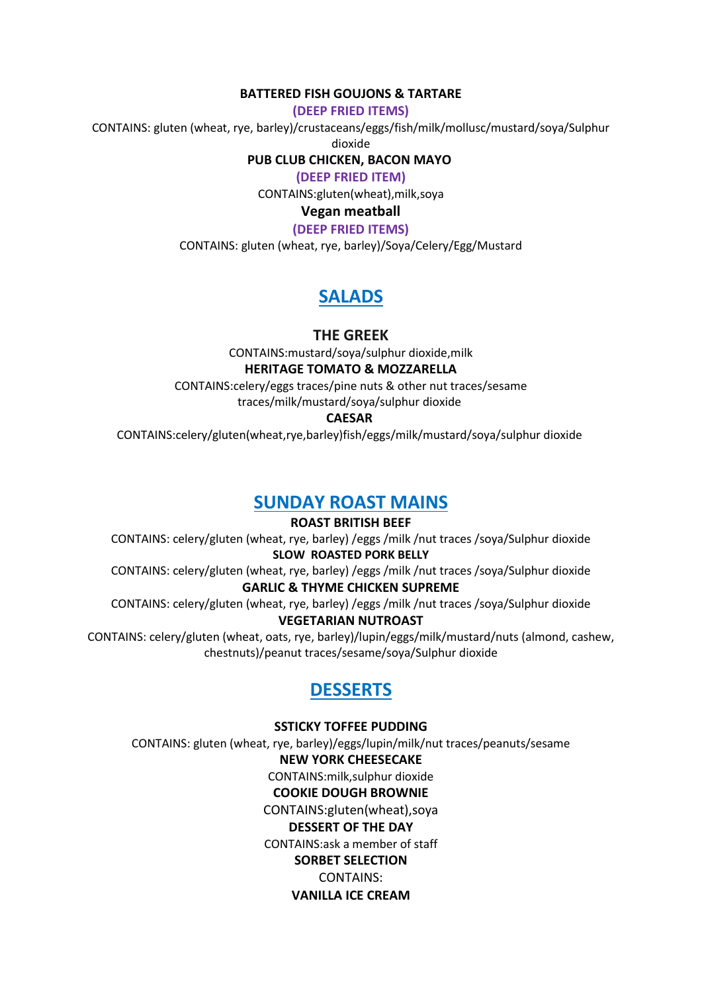#### **BATTERED FISH GOUJONS & TARTARE**

**(DEEP FRIED ITEMS)**

CONTAINS: gluten (wheat, rye, barley)/crustaceans/eggs/fish/milk/mollusc/mustard/soya/Sulphur

dioxide

**PUB CLUB CHICKEN, BACON MAYO**

**(DEEP FRIED ITEM)**

CONTAINS:gluten(wheat),milk,soya

#### **Vegan meatball**

**(DEEP FRIED ITEMS)**

CONTAINS: gluten (wheat, rye, barley)/Soya/Celery/Egg/Mustard

# **SALADS**

**THE GREEK**

CONTAINS:mustard/soya/sulphur dioxide,milk

#### **HERITAGE TOMATO & MOZZARELLA**

CONTAINS:celery/eggs traces/pine nuts & other nut traces/sesame traces/milk/mustard/soya/sulphur dioxide

#### **CAESAR**

CONTAINS:celery/gluten(wheat,rye,barley)fish/eggs/milk/mustard/soya/sulphur dioxide

### **SUNDAY ROAST MAINS**

**ROAST BRITISH BEEF** CONTAINS: celery/gluten (wheat, rye, barley) /eggs /milk /nut traces /soya/Sulphur dioxide **SLOW ROASTED PORK BELLY** CONTAINS: celery/gluten (wheat, rye, barley) /eggs /milk /nut traces /soya/Sulphur dioxide

#### **GARLIC & THYME CHICKEN SUPREME**

CONTAINS: celery/gluten (wheat, rye, barley) /eggs /milk /nut traces /soya/Sulphur dioxide **VEGETARIAN NUTROAST**

CONTAINS: celery/gluten (wheat, oats, rye, barley)/lupin/eggs/milk/mustard/nuts (almond, cashew, chestnuts)/peanut traces/sesame/soya/Sulphur dioxide

# **DESSERTS**

**SSTICKY TOFFEE PUDDING** CONTAINS: gluten (wheat, rye, barley)/eggs/lupin/milk/nut traces/peanuts/sesame **NEW YORK CHEESECAKE** CONTAINS:milk,sulphur dioxide **COOKIE DOUGH BROWNIE** CONTAINS:gluten(wheat),soya **DESSERT OF THE DAY** CONTAINS:ask a member of staff **SORBET SELECTION** CONTAINS: **VANILLA ICE CREAM**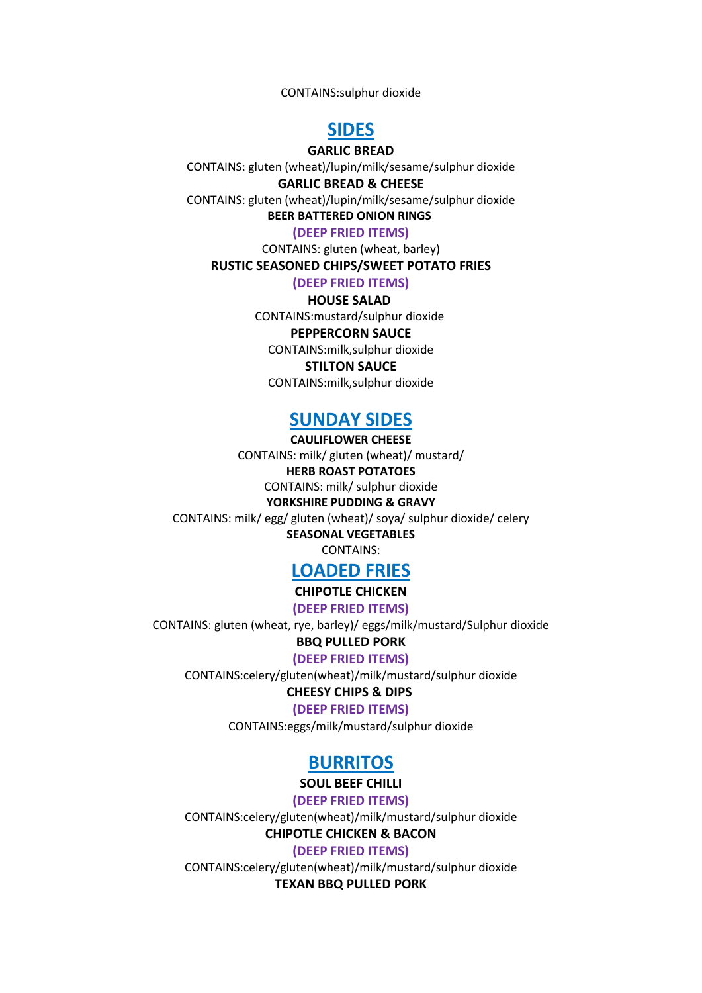CONTAINS:sulphur dioxide

### **SIDES**

#### **GARLIC BREAD**

CONTAINS: gluten (wheat)/lupin/milk/sesame/sulphur dioxide **GARLIC BREAD & CHEESE** CONTAINS: gluten (wheat)/lupin/milk/sesame/sulphur dioxide

**BEER BATTERED ONION RINGS**

**(DEEP FRIED ITEMS)**

CONTAINS: gluten (wheat, barley)

**RUSTIC SEASONED CHIPS/SWEET POTATO FRIES**

**(DEEP FRIED ITEMS)**

#### **HOUSE SALAD**

CONTAINS:mustard/sulphur dioxide

#### **PEPPERCORN SAUCE**

CONTAINS:milk,sulphur dioxide

**STILTON SAUCE**

CONTAINS:milk,sulphur dioxide

### **SUNDAY SIDES**

**CAULIFLOWER CHEESE** CONTAINS: milk/ gluten (wheat)/ mustard/ **HERB ROAST POTATOES** CONTAINS: milk/ sulphur dioxide **YORKSHIRE PUDDING & GRAVY**

CONTAINS: milk/ egg/ gluten (wheat)/ soya/ sulphur dioxide/ celery **SEASONAL VEGETABLES**

CONTAINS:

### **LOADED FRIES**

**CHIPOTLE CHICKEN**

**(DEEP FRIED ITEMS)**

CONTAINS: gluten (wheat, rye, barley)/ eggs/milk/mustard/Sulphur dioxide

#### **BBQ PULLED PORK**

**(DEEP FRIED ITEMS)**

CONTAINS:celery/gluten(wheat)/milk/mustard/sulphur dioxide

#### **CHEESY CHIPS & DIPS**

**(DEEP FRIED ITEMS)**

CONTAINS:eggs/milk/mustard/sulphur dioxide

### **BURRITOS**

#### **SOUL BEEF CHILLI**

**(DEEP FRIED ITEMS)**

CONTAINS:celery/gluten(wheat)/milk/mustard/sulphur dioxide **CHIPOTLE CHICKEN & BACON**

**(DEEP FRIED ITEMS)**

CONTAINS:celery/gluten(wheat)/milk/mustard/sulphur dioxide **TEXAN BBQ PULLED PORK**